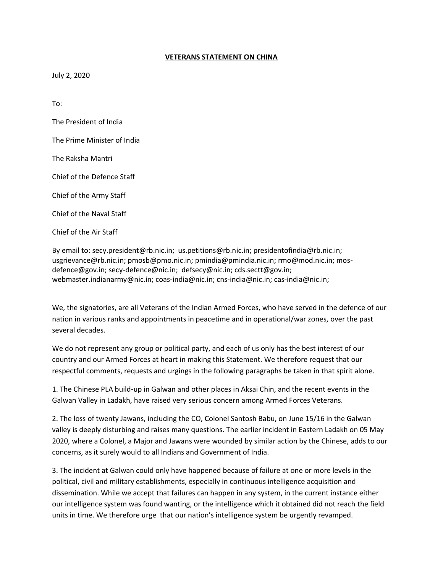## **VETERANS STATEMENT ON CHINA**

July 2, 2020

To:

The President of India

The Prime Minister of India

The Raksha Mantri

Chief of the Defence Staff

Chief of the Army Staff

Chief of the Naval Staff

Chief of the Air Staff

By email to: secy.president@rb.nic.in; us.petitions@rb.nic.in; presidentofindia@rb.nic.in; usgrievance@rb.nic.in; pmosb@pmo.nic.in; pmindia@pmindia.nic.in; rmo@mod.nic.in; mosdefence@gov.in; secy-defence@nic.in; defsecy@nic.in; cds.sectt@gov.in; webmaster.indianarmy@nic.in; coas-india@nic.in; cns-india@nic.in; cas-india@nic.in;

We, the signatories, are all Veterans of the Indian Armed Forces, who have served in the defence of our nation in various ranks and appointments in peacetime and in operational/war zones, over the past several decades.

We do not represent any group or political party, and each of us only has the best interest of our country and our Armed Forces at heart in making this Statement. We therefore request that our respectful comments, requests and urgings in the following paragraphs be taken in that spirit alone.

1. The Chinese PLA build-up in Galwan and other places in Aksai Chin, and the recent events in the Galwan Valley in Ladakh, have raised very serious concern among Armed Forces Veterans.

2. The loss of twenty Jawans, including the CO, Colonel Santosh Babu, on June 15/16 in the Galwan valley is deeply disturbing and raises many questions. The earlier incident in Eastern Ladakh on 05 May 2020, where a Colonel, a Major and Jawans were wounded by similar action by the Chinese, adds to our concerns, as it surely would to all Indians and Government of India.

3. The incident at Galwan could only have happened because of failure at one or more levels in the political, civil and military establishments, especially in continuous intelligence acquisition and dissemination. While we accept that failures can happen in any system, in the current instance either our intelligence system was found wanting, or the intelligence which it obtained did not reach the field units in time. We therefore urge that our nation's intelligence system be urgently revamped.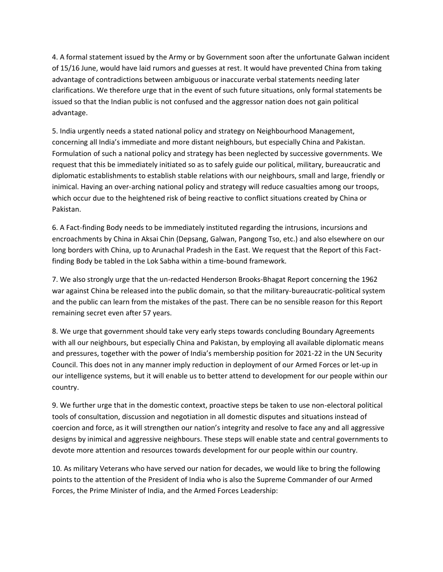4. A formal statement issued by the Army or by Government soon after the unfortunate Galwan incident of 15/16 June, would have laid rumors and guesses at rest. It would have prevented China from taking advantage of contradictions between ambiguous or inaccurate verbal statements needing later clarifications. We therefore urge that in the event of such future situations, only formal statements be issued so that the Indian public is not confused and the aggressor nation does not gain political advantage.

5. India urgently needs a stated national policy and strategy on Neighbourhood Management, concerning all India's immediate and more distant neighbours, but especially China and Pakistan. Formulation of such a national policy and strategy has been neglected by successive governments. We request that this be immediately initiated so as to safely guide our political, military, bureaucratic and diplomatic establishments to establish stable relations with our neighbours, small and large, friendly or inimical. Having an over-arching national policy and strategy will reduce casualties among our troops, which occur due to the heightened risk of being reactive to conflict situations created by China or Pakistan.

6. A Fact-finding Body needs to be immediately instituted regarding the intrusions, incursions and encroachments by China in Aksai Chin (Depsang, Galwan, Pangong Tso, etc.) and also elsewhere on our long borders with China, up to Arunachal Pradesh in the East. We request that the Report of this Factfinding Body be tabled in the Lok Sabha within a time-bound framework.

7. We also strongly urge that the un-redacted Henderson Brooks-Bhagat Report concerning the 1962 war against China be released into the public domain, so that the military-bureaucratic-political system and the public can learn from the mistakes of the past. There can be no sensible reason for this Report remaining secret even after 57 years.

8. We urge that government should take very early steps towards concluding Boundary Agreements with all our neighbours, but especially China and Pakistan, by employing all available diplomatic means and pressures, together with the power of India's membership position for 2021-22 in the UN Security Council. This does not in any manner imply reduction in deployment of our Armed Forces or let-up in our intelligence systems, but it will enable us to better attend to development for our people within our country.

9. We further urge that in the domestic context, proactive steps be taken to use non-electoral political tools of consultation, discussion and negotiation in all domestic disputes and situations instead of coercion and force, as it will strengthen our nation's integrity and resolve to face any and all aggressive designs by inimical and aggressive neighbours. These steps will enable state and central governments to devote more attention and resources towards development for our people within our country.

10. As military Veterans who have served our nation for decades, we would like to bring the following points to the attention of the President of India who is also the Supreme Commander of our Armed Forces, the Prime Minister of India, and the Armed Forces Leadership: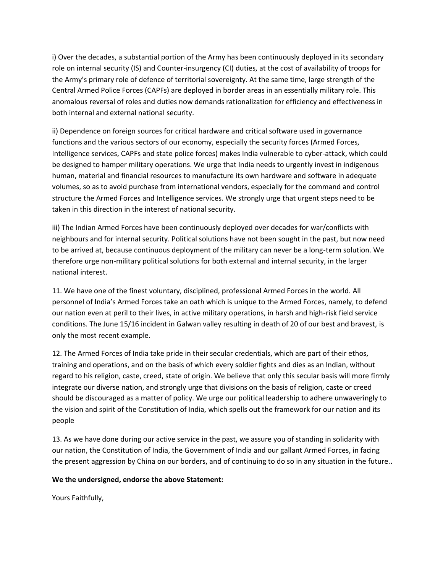i) Over the decades, a substantial portion of the Army has been continuously deployed in its secondary role on internal security (IS) and Counter-insurgency (CI) duties, at the cost of availability of troops for the Army's primary role of defence of territorial sovereignty. At the same time, large strength of the Central Armed Police Forces (CAPFs) are deployed in border areas in an essentially military role. This anomalous reversal of roles and duties now demands rationalization for efficiency and effectiveness in both internal and external national security.

ii) Dependence on foreign sources for critical hardware and critical software used in governance functions and the various sectors of our economy, especially the security forces (Armed Forces, Intelligence services, CAPFs and state police forces) makes India vulnerable to cyber-attack, which could be designed to hamper military operations. We urge that India needs to urgently invest in indigenous human, material and financial resources to manufacture its own hardware and software in adequate volumes, so as to avoid purchase from international vendors, especially for the command and control structure the Armed Forces and Intelligence services. We strongly urge that urgent steps need to be taken in this direction in the interest of national security.

iii) The Indian Armed Forces have been continuously deployed over decades for war/conflicts with neighbours and for internal security. Political solutions have not been sought in the past, but now need to be arrived at, because continuous deployment of the military can never be a long-term solution. We therefore urge non-military political solutions for both external and internal security, in the larger national interest.

11. We have one of the finest voluntary, disciplined, professional Armed Forces in the world. All personnel of India's Armed Forces take an oath which is unique to the Armed Forces, namely, to defend our nation even at peril to their lives, in active military operations, in harsh and high-risk field service conditions. The June 15/16 incident in Galwan valley resulting in death of 20 of our best and bravest, is only the most recent example.

12. The Armed Forces of India take pride in their secular credentials, which are part of their ethos, training and operations, and on the basis of which every soldier fights and dies as an Indian, without regard to his religion, caste, creed, state of origin. We believe that only this secular basis will more firmly integrate our diverse nation, and strongly urge that divisions on the basis of religion, caste or creed should be discouraged as a matter of policy. We urge our political leadership to adhere unwaveringly to the vision and spirit of the Constitution of India, which spells out the framework for our nation and its people

13. As we have done during our active service in the past, we assure you of standing in solidarity with our nation, the Constitution of India, the Government of India and our gallant Armed Forces, in facing the present aggression by China on our borders, and of continuing to do so in any situation in the future..

## **We the undersigned, endorse the above Statement:**

Yours Faithfully,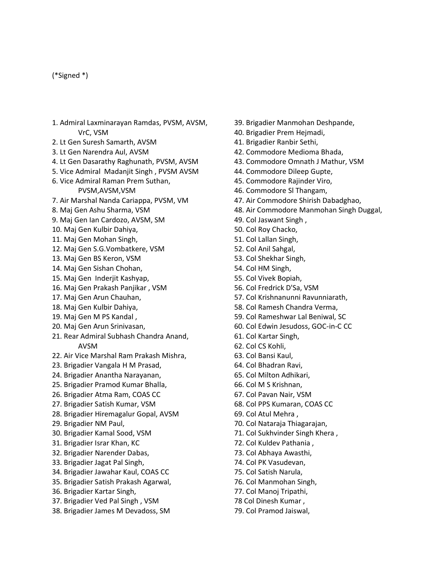## (\*Signed \*)

- 1. Admiral Laxminarayan Ramdas, PVSM, AVSM, VrC, VSM
- 2. Lt Gen Suresh Samarth, AVSM
- 3. Lt Gen Narendra Aul, AVSM
- 4. Lt Gen Dasarathy Raghunath, PVSM, AVSM
- 5. Vice Admiral Madanjit Singh , PVSM AVSM
- 6. Vice Admiral Raman Prem Suthan, PVSM,AVSM,VSM
- 7. Air Marshal Nanda Cariappa, PVSM, VM
- 8. Maj Gen Ashu Sharma, VSM
- 9. Maj Gen Ian Cardozo, AVSM, SM
- 10. Maj Gen Kulbir Dahiya,
- 11. Maj Gen Mohan Singh,
- 12. Maj Gen S.G.Vombatkere, VSM
- 13. Maj Gen BS Keron, VSM
- 14. Maj Gen Sishan Chohan,
- 15. Maj Gen Inderjit Kashyap,
- 16. Maj Gen Prakash Panjikar , VSM
- 17. Maj Gen Arun Chauhan,
- 18. Maj Gen Kulbir Dahiya,
- 19. Maj Gen M PS Kandal ,
- 20. Maj Gen Arun Srinivasan,
- 21. Rear Admiral Subhash Chandra Anand, AVSM
- 22. Air Vice Marshal Ram Prakash Mishra,
- 23. Brigadier Vangala H M Prasad,
- 24. Brigadier Anantha Narayanan,
- 25. Brigadier Pramod Kumar Bhalla,
- 26. Brigadier Atma Ram, COAS CC
- 27. Brigadier Satish Kumar, VSM
- 28. Brigadier Hiremagalur Gopal, AVSM
- 29. Brigadier NM Paul,
- 30. Brigadier Kamal Sood, VSM
- 31. Brigadier Israr Khan, KC
- 32. Brigadier Narender Dabas,
- 33. Brigadier Jagat Pal Singh,
- 34. Brigadier Jawahar Kaul, COAS CC
- 35. Brigadier Satish Prakash Agarwal,
- 36. Brigadier Kartar Singh,
- 37. Brigadier Ved Pal Singh , VSM
- 38. Brigadier James M Devadoss, SM
- 39. Brigadier Manmohan Deshpande,
- 40. Brigadier Prem Hejmadi,
- 41. Brigadier Ranbir Sethi,
- 42. Commodore Medioma Bhada,
- 43. Commodore Omnath J Mathur, VSM
- 44. Commodore Dileep Gupte,
- 45. Commodore Rajinder Viro,
- 46. Commodore Sl Thangam,
- 47. Air Commodore Shirish Dabadghao,
- 48. Air Commodore Manmohan Singh Duggal,
- 49. Col Jaswant Singh ,
- 50. Col Roy Chacko,
- 51. Col Lallan Singh,
- 52. Col Anil Sahgal,
- 53. Col Shekhar Singh,
- 54. Col HM Singh,
- 55. Col Vivek Bopiah,
- 56. Col Fredrick D'Sa, VSM
- 57. Col Krishnanunni Ravunniarath,
- 58. Col Ramesh Chandra Verma,
- 59. Col Rameshwar Lal Beniwal, SC
- 60. Col Edwin Jesudoss, GOC-in-C CC
- 61. Col Kartar Singh,
- 62. Col CS Kohli,
- 63. Col Bansi Kaul,
- 64. Col Bhadran Ravi,
- 65. Col Milton Adhikari,
- 66. Col M S Krishnan,
- 67. Col Pavan Nair, VSM
- 68. Col PPS Kumaran, COAS CC
- 69. Col Atul Mehra ,
- 70. Col Nataraja Thiagarajan,
- 71. Col Sukhvinder Singh Khera ,
- 72. Col Kuldev Pathania ,
- 73. Col Abhaya Awasthi,
- 74. Col PK Vasudevan,
- 75. Col Satish Narula,
- 76. Col Manmohan Singh,
- 77. Col Manoj Tripathi,
- 78 Col Dinesh Kumar ,
- 79. Col Pramod Jaiswal,